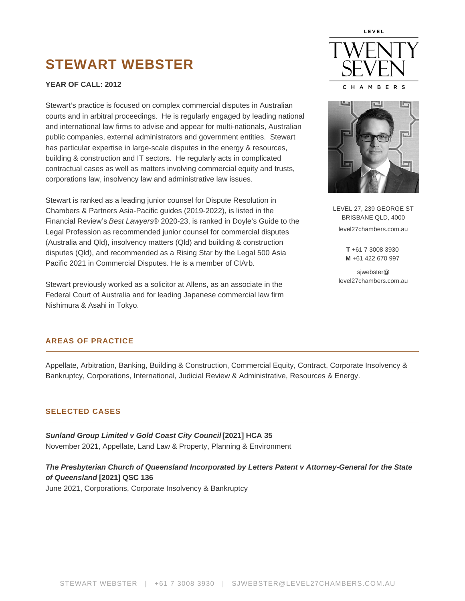# **STEWART WEBSTER**

## **YEAR OF CALL: 2012**

Stewart's practice is focused on complex commercial disputes in Australian courts and in arbitral proceedings. He is regularly engaged by leading national and international law firms to advise and appear for multi-nationals, Australian public companies, external administrators and government entities. Stewart has particular expertise in large-scale disputes in the energy & resources, building & construction and IT sectors. He regularly acts in complicated contractual cases as well as matters involving commercial equity and trusts, corporations law, insolvency law and administrative law issues.

Stewart is ranked as a leading junior counsel for Dispute Resolution in Chambers & Partners Asia-Pacific guides (2019-2022), is listed in the Financial Review's Best Lawyers® 2020-23, is ranked in Doyle's Guide to the Legal Profession as recommended junior counsel for commercial disputes (Australia and Qld), insolvency matters (Qld) and building & construction disputes (Qld), and recommended as a Rising Star by the Legal 500 Asia Pacific 2021 in Commercial Disputes. He is a member of CIArb.

Stewart previously worked as a solicitor at Allens, as an associate in the Federal Court of Australia and for leading Japanese commercial law firm Nishimura & Asahi in Tokyo.





LEVEL 27, 239 GEORGE ST BRISBANE QLD, 4000 level27chambers.com.au **T** +61 7 3008 3930

**M** +61 422 670 997

sjwebster@ level27chambers.com.au

#### **AREAS OF PRACTICE**

Appellate, Arbitration, Banking, Building & Construction, Commercial Equity, Contract, Corporate Insolvency & Bankruptcy, Corporations, International, Judicial Review & Administrative, Resources & Energy.

#### **SELECTED CASES**

**Sunland Group Limited v Gold Coast City Council [2021] HCA 35** November 2021, Appellate, Land Law & Property, Planning & Environment

**The Presbyterian Church of Queensland Incorporated by Letters Patent v Attorney-General for the State of Queensland [2021] QSC 136** June 2021, Corporations, Corporate Insolvency & Bankruptcy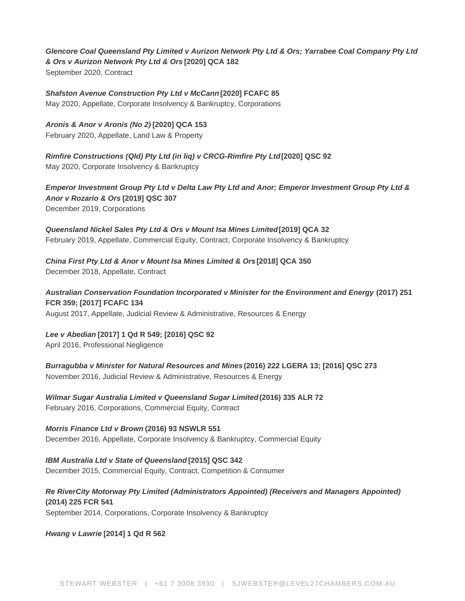# **Glencore Coal Queensland Pty Limited v Aurizon Network Pty Ltd & Ors; Yarrabee Coal Company Pty Ltd & Ors v Aurizon Network Pty Ltd & Ors [2020] QCA 182** September 2020, Contract

**Shafston Avenue Construction Pty Ltd v McCann [2020] FCAFC 85** May 2020, Appellate, Corporate Insolvency & Bankruptcy, Corporations

**Aronis & Anor v Aronis (No 2) [2020] QCA 153** February 2020, Appellate, Land Law & Property

**Rimfire Constructions (Qld) Pty Ltd (in liq) v CRCG-Rimfire Pty Ltd [2020] QSC 92** May 2020, Corporate Insolvency & Bankruptcy

**Emperor Investment Group Pty Ltd v Delta Law Pty Ltd and Anor; Emperor Investment Group Pty Ltd & Anor v Rozario & Ors [2019] QSC 307** December 2019, Corporations

**Queensland Nickel Sales Pty Ltd & Ors v Mount Isa Mines Limited [2019] QCA 32** February 2019, Appellate, Commercial Equity, Contract, Corporate Insolvency & Bankruptcy

**China First Pty Ltd & Anor v Mount Isa Mines Limited & Ors [2018] QCA 350** December 2018, Appellate, Contract

**Australian Conservation Foundation Incorporated v Minister for the Environment and Energy (2017) 251 FCR 359; [2017] FCAFC 134**

August 2017, Appellate, Judicial Review & Administrative, Resources & Energy

**Lee v Abedian [2017] 1 Qd R 549; [2016] QSC 92**

April 2016, Professional Negligence

**Burragubba v Minister for Natural Resources and Mines (2016) 222 LGERA 13; [2016] QSC 273** November 2016, Judicial Review & Administrative, Resources & Energy

**Wilmar Sugar Australia Limited v Queensland Sugar Limited (2016) 335 ALR 72** February 2016, Corporations, Commercial Equity, Contract

**Morris Finance Ltd v Brown (2016) 93 NSWLR 551** December 2016, Appellate, Corporate Insolvency & Bankruptcy, Commercial Equity

**IBM Australia Ltd v State of Queensland [2015] QSC 342** December 2015, Commercial Equity, Contract, Competition & Consumer

# **Re RiverCity Motorway Pty Limited (Administrators Appointed) (Receivers and Managers Appointed) (2014) 225 FCR 541**

September 2014, Corporations, Corporate Insolvency & Bankruptcy

**Hwang v Lawrie [2014] 1 Qd R 562**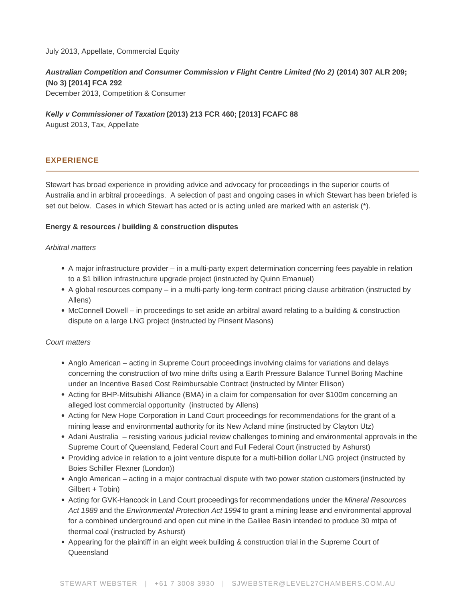July 2013, Appellate, Commercial Equity

Australian Competition and Consumer Commission v Flight Centre Limited (No 2) (2014) 307 ALR 209; (No 3) [2014] FCA 292 December 2013, Competition & Consumer

Kelly v Commissioner of Taxation (2013) 213 FCR 460; [2013] FCAFC 88 August 2013, Tax, Appellate

# EXPERIENCE

Stewart has broad experience in providing advice and advocacy for proceedings in the superior courts of Australia and in arbitral proceedings. A selection of past and ongoing cases in which Stewart has been briefed is set out below. Cases in which Stewart has acted or is acting unled are marked with an asterisk (\*).

Energy & resources / building & construction disputes

#### Arbitral matters

- A major infrastructure provider in a multi-party expert determination concerning fees payable in relation to a \$1 billion infrastructure upgrade project (instructed by Quinn Emanuel)
- A global resources company in a multi-party long-term contract pricing clause arbitration (instructed by Allens)
- McConnell Dowell in proceedings to set aside an arbitral award relating to a building & construction dispute on a large LNG project (instructed by Pinsent Masons)

#### Court matters

- Anglo American acting in Supreme Court proceedings involving claims for variations and delays concerning the construction of two mine drifts using a Earth Pressure Balance Tunnel Boring Machine under an Incentive Based Cost Reimbursable Contract (instructed by Minter Ellison)
- Acting for BHP-Mitsubishi Alliance (BMA) in a claim for compensation for over \$100m concerning an alleged lost commercial opportunity (instructed by Allens)
- Acting for New Hope Corporation in Land Court proceedings for recommendations for the grant of a mining lease and environmental authority for its New Acland mine (instructed by Clayton Utz)
- Adani Australia resisting various judicial review challenges to [mining](https://www.level27chambers.com.au/cases/burragubba-v-minister-natural-resources-mines-2016-qsc-273/) and [environmental](https://www.level27chambers.com.au/cases/australian-conservation-foundation-incorporated-v-minister-environment/) approvals in the [Supreme Court of Queensland](https://www.level27chambers.com.au/cases/connor-v-queensland-rail-ltd-2016-qsc-270-2/), Federal Court and [Full Federal Court](https://www.level27chambers.com.au/cases/australian-conservation-foundation-incorporated-v-minister-environment-energy-2017-fcafc-134/) (instructed by Ashurst)
- Providing advice in relation to a joint venture dispute for a multi-billion dollar LNG project (instructed by Boies Schiller Flexner (London))
- Anglo American – [acting in a major contractual dispute with two power station customers](https://www.level27chambers.com.au/cases/wagner-v-nine-network-australia-2016-qsc-198/) (instructed by Gilbert + Tobin)
- Acting for [GVK-Hancock in Land Court proceedings](https://www.level27chambers.com.au/cases/hancock-galilee-pty-ltd-v-currie-2017-qlc-35/) for recommendations under the Mineral Resources Act 1989 and the Environmental Protection Act 1994 to grant a mining lease and environmental approval for a combined underground and open cut mine in the Galilee Basin intended to produce 30 mtpa of thermal coal (instructed by Ashurst)
- [Appearing for the plaintiff in an eight week building & construction trial in the Supreme Court of](https://www.level27chambers.com.au/cases/civil-mining-construction-pty-ltd-v-wiggins-island-coal-export-terminal-pty-ltd-2017-qsc-85/)  **[Queensland](https://www.level27chambers.com.au/cases/civil-mining-construction-pty-ltd-v-wiggins-island-coal-export-terminal-pty-ltd-2017-qsc-85/)**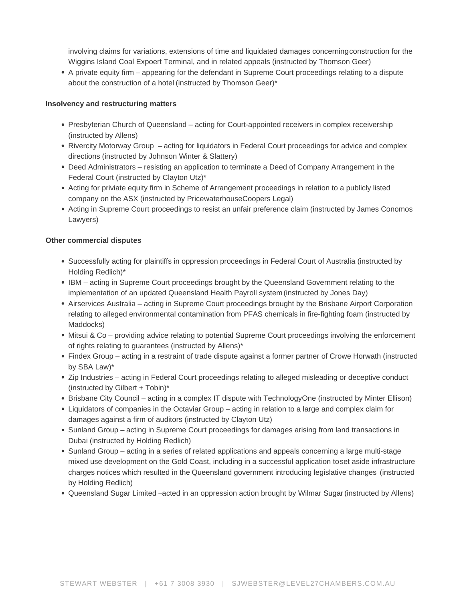involving claims for variations, extensions of time and liquidated damages concerning construction for the Wiggins Island Coal Expoert Terminal, and in related appeals (instructed by Thomson Geer)

A private equity firm – [appearing for the defendant in Supreme Court proceedings relating to a dispute](https://www.level27chambers.com.au/cases/built-qld-pty-limited-v-pro-invest-australian-hospitality-opportunity-st-pty-limited-as-trustee-for-the-pro-invest-australian-hospitality-opportunity-brf-springhill-trust-2019-qsc-108/)  [about the construction of a hotel](https://www.level27chambers.com.au/cases/built-qld-pty-limited-v-pro-invest-australian-hospitality-opportunity-st-pty-limited-as-trustee-for-the-pro-invest-australian-hospitality-opportunity-brf-springhill-trust-2019-qsc-108/) (instructed by Thomson Geer)\*

Insolvency and restructuring matters

- Presbyterian Church of Queensland acting for Court-appointed receivers in complex receivership (instructed by Allens)
- Rivercity Motorway Group acting for liquidators in Federal Court proceedings for advice and complex [directions](https://www.level27chambers.com.au/cases/owen-in-the-matter-of-rivercity-motorway-pty-limited-administrators-appointed-receivers-and-managers-appointed-2014-fca-1008/) (instructed by Johnson Winter & Slattery)
- Deed Administrators resisting an application to terminate a Deed of Company Arrangement in the Federal Court (instructed by Clayton Utz)\*
- Acting for priviate equity firm in Scheme of Arrangement proceedings in relation to a publicly listed company on the ASX (instructed by PricewaterhouseCoopers Legal)
- Acting in Supreme Court proceedings to resist an unfair preference claim (instructed by James Conomos Lawyers)

Other commercial disputes

- Successfully acting for plaintiffs in oppression proceedings in Federal Court of Australia (instructed by Holding Redlich)\*
- IBM acting in Supreme Court proceedings brought by the Queensland Government relating to the [implementation of an updated Queensland Health Payroll system](https://www.level27chambers.com.au/news/2015/12/queensland-health-payroll-saga-supreme-court-upholds-legal-challenge-by-ibm/) (instructed by Jones Day)
- Airservices Australia acting in Supreme Court proceedings brought by the Brisbane Airport Corporation relating to alleged environmental contamination from PFAS chemicals in fire-fighting foam (instructed by Maddocks)
- Mitsui & Co providing advice relating to potential Supreme Court proceedings involving the enforcement of rights relating to guarantees (instructed by Allens)\*
- Findex Group acting in a restraint of trade dispute against a former partner of Crowe Horwath (instructed by SBA Law)\*
- Zip Industries acting in Federal Court proceedings relating to alleged misleading or deceptive conduct (instructed by Gilbert + Tobin)\*
- Brisbane City Council acting in a complex IT dispute with TechnologyOne (instructed by Minter Ellison)
- Liquidators of companies in the Octaviar Group acting in relation to a large and complex claim for damages against a firm of auditors (instructed by Clayton Utz)
- Sunland Group  [acting in Supreme Court proceedings for damages arising from land transactions in](https://www.level27chambers.com.au/cases/lee-v-abedian-2016-qsc-92/)  [Dubai](https://www.level27chambers.com.au/cases/lee-v-abedian-2016-qsc-92/) (instructed by Holding Redlich)
- Sunland Group acting in a series of related applications and appeals concerning a large multi-stage mixed use development on the Gold Coast, including in a successful application to [set aside infrastructure](https://www.level27chambers.com.au/cases/sunland-group-ltd-sunland-developments-no22-pty-ltd-v-gold-coast-city-council-2018-qpec-22/)  [charges notices](https://www.level27chambers.com.au/cases/sunland-group-ltd-sunland-developments-no22-pty-ltd-v-gold-coast-city-council-2018-qpec-22/) which resulted in the [Queensland government introducing legislative changes](https://corrs.com.au/insights/improving-planning-act-processes) (instructed by Holding Redlich)
- Queensland Sugar Limited [–acted in an oppression action brought by Wilmar Sugar](https://www.level27chambers.com.au/cases/wilmar-sugar-australia-limited-v-queensland-sugar-limited-2016-fca-20/) (instructed by Allens)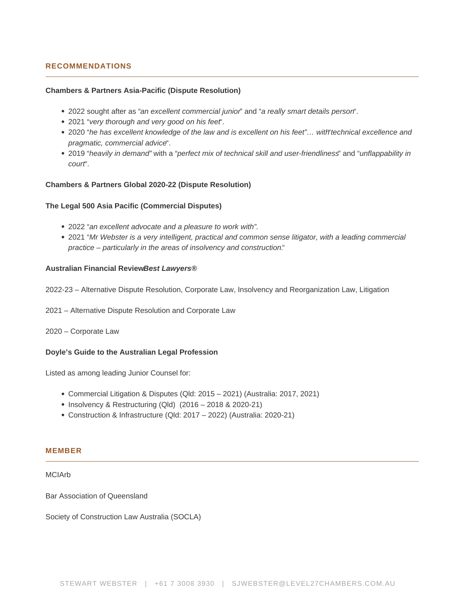## **RECOMMENDATIONS**

#### **Chambers & Partners Asia-Pacific (Dispute Resolution)**

- 2022 sought after as "an excellent commercial junior" and "a really smart details person".
- 2021 "very thorough and very good on his feet".
- 2020 "he has excellent knowledge of the law and is excellent on his feet"... with technical excellence and pragmatic, commercial advice".
- 2019 "heavily in demand" with a "perfect mix of technical skill and user-friendliness" and "unflappability in court".

#### **Chambers & Partners Global 2020-22 (Dispute Resolution)**

#### **The Legal 500 Asia Pacific (Commercial Disputes)**

- 2022 "an excellent advocate and a pleasure to work with".
- 2021 "Mr Webster is a very intelligent, practical and common sense litigator, with a leading commercial practice – particularly in the areas of insolvency and construction."

#### **Australian Financial ReviewBest Lawyers®**

2022-23 – Alternative Dispute Resolution, Corporate Law, Insolvency and Reorganization Law, Litigation

- 2021 Alternative Dispute Resolution and Corporate Law
- 2020 Corporate Law

#### **Doyle's Guide to the Australian Legal Profession**

Listed as among leading Junior Counsel for:

- Commercial Litigation & Disputes (Qld: 2015 2021) (Australia: 2017, 2021)
- $\bullet$  Insolvency & Restructuring (Qld) (2016 2018 & 2020-21)
- Construction & Infrastructure (Qld: 2017 2022) (Australia: 2020-21)

#### **MEMBER**

**MCIArb** 

Bar Association of Queensland

Society of Construction Law Australia (SOCLA)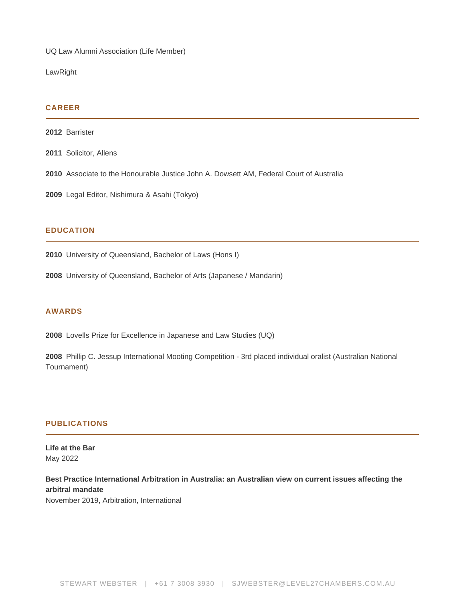UQ Law Alumni Association (Life Member)

LawRight

#### **CAREER**

**2012** Barrister

**2011** Solicitor, Allens

**2010** Associate to the Honourable Justice John A. Dowsett AM, Federal Court of Australia

**2009** Legal Editor, Nishimura & Asahi (Tokyo)

#### **EDUCATION**

**2010** University of Queensland, Bachelor of Laws (Hons I)

**2008** University of Queensland, Bachelor of Arts (Japanese / Mandarin)

#### **AWARDS**

**2008** Lovells Prize for Excellence in Japanese and Law Studies (UQ)

**2008** Phillip C. Jessup International Mooting Competition - 3rd placed individual oralist (Australian National Tournament)

#### **PUBLICATIONS**

**Life at the Bar** May 2022

**Best Practice International Arbitration in Australia: an Australian view on current issues affecting the arbitral mandate** November 2019, Arbitration, International